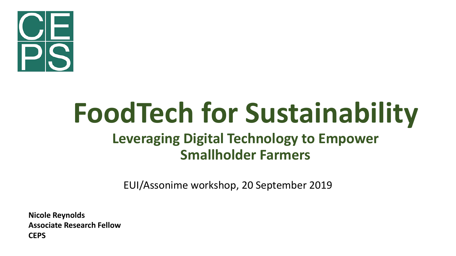

# **FoodTech for Sustainability Leveraging Digital Technology to Empower**

#### **Smallholder Farmers**

EUI/Assonime workshop, 20 September 2019

**Nicole Reynolds Associate Research Fellow CEPS**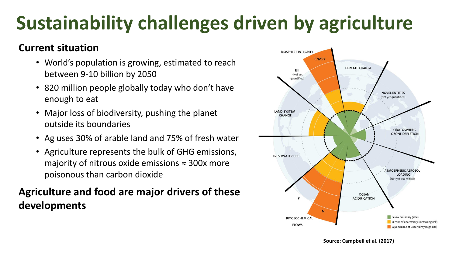# **Sustainability challenges driven by agriculture**

#### **Current situation**

- World's population is growing, estimated to reach between 9-10 billion by 2050
- 820 million people globally today who don't have enough to eat
- Major loss of biodiversity, pushing the planet outside its boundaries
- Ag uses 30% of arable land and 75% of fresh water
- Agriculture represents the bulk of GHG emissions, majority of nitrous oxide emissions  $\approx$  300x more poisonous than carbon dioxide

#### **Agriculture and food are major drivers of these developments**

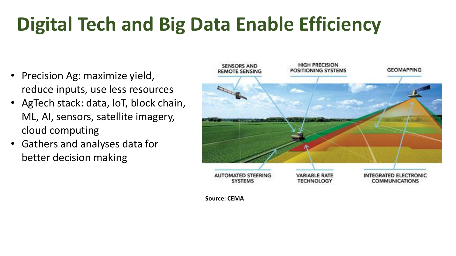## **Digital Tech and Big Data Enable Efficiency**

- Precision Ag: maximize yield, reduce inputs, use less resources
- AgTech stack: data, IoT, block chain, ML, AI, sensors, satellite imagery, cloud computing
- Gathers and analyses data for better decision making



**Source: CEMA**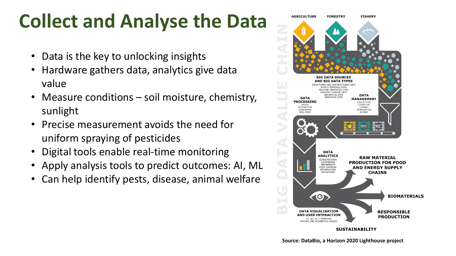### **Collect and Analyse the Data**

- Data is the key to unlocking insights
- Hardware gathers data, analytics give data value
- Measure conditions soil moisture, chemistry, sunlight
- Precise measurement avoids the need for uniform spraying of pesticides
- Digital tools enable real-time monitoring
- Apply analysis tools to predict outcomes: AI, ML
- Can help identify pests, disease, animal welfare

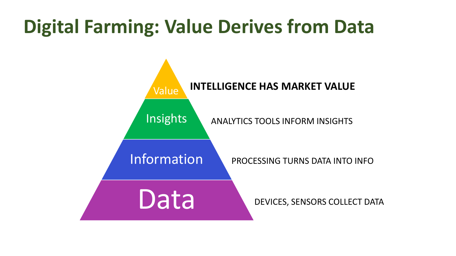### **Digital Farming: Value Derives from Data**

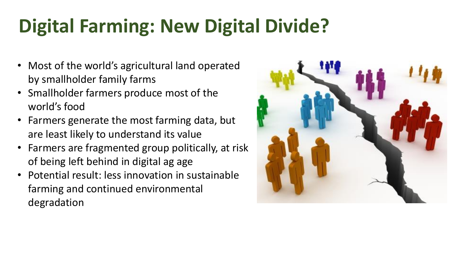# **Digital Farming: New Digital Divide?**

- Most of the world's agricultural land operated by smallholder family farms
- Smallholder farmers produce most of the world's food
- Farmers generate the most farming data, but are least likely to understand its value
- Farmers are fragmented group politically, at risk of being left behind in digital ag age
- Potential result: less innovation in sustainable farming and continued environmental degradation